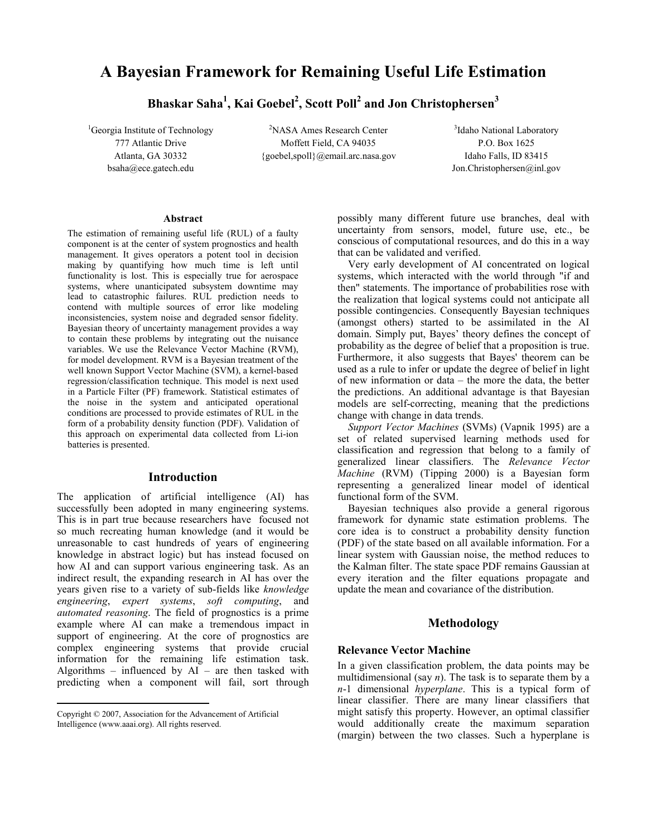# A Bayesian Framework for Remaining Useful Life Estimation

Bhaskar Saha $^1$ , Kai Goebel $^2$ , Scott Poll $^2$  and Jon Christophersen $^3$ 

 ${}^{1}$ Georgia Institute of Technology  ${}^{2}$ NASA Ames Research Center

777 Atlantic Drive Moffett Field, CA 94035 P.O. Box 1625 Atlanta, GA 30332 {goebel,spoll}@email.arc.nasa.gov Idaho Falls, ID 83415

<sup>3</sup>Idaho National Laboratory bsaha@ece.gatech.edu Jon.Christophersen@inl.gov

#### Abstract

The estimation of remaining useful life (RUL) of a faulty component is at the center of system prognostics and health management. It gives operators a potent tool in decision making by quantifying how much time is left until functionality is lost. This is especially true for aerospace systems, where unanticipated subsystem downtime may lead to catastrophic failures. RUL prediction needs to contend with multiple sources of error like modeling inconsistencies, system noise and degraded sensor fidelity. Bayesian theory of uncertainty management provides a way to contain these problems by integrating out the nuisance variables. We use the Relevance Vector Machine (RVM), for model development. RVM is a Bayesian treatment of the well known Support Vector Machine (SVM), a kernel-based regression/classification technique. This model is next used in a Particle Filter (PF) framework. Statistical estimates of the noise in the system and anticipated operational conditions are processed to provide estimates of RUL in the form of a probability density function (PDF). Validation of this approach on experimental data collected from Li-ion batteries is presented.

# Introduction

The application of artificial intelligence (AI) has successfully been adopted in many engineering systems. This is in part true because researchers have focused not so much recreating human knowledge (and it would be unreasonable to cast hundreds of years of engineering knowledge in abstract logic) but has instead focused on how AI and can support various engineering task. As an indirect result, the expanding research in AI has over the years given rise to a variety of sub-fields like knowledge engineering, expert systems, soft computing, and automated reasoning. The field of prognostics is a prime example where AI can make a tremendous impact in support of engineering. At the core of prognostics are complex engineering systems that provide crucial information for the remaining life estimation task. Algorithms – influenced by  $AI$  – are then tasked with predicting when a component will fail, sort through

<u>.</u>

possibly many different future use branches, deal with uncertainty from sensors, model, future use, etc., be conscious of computational resources, and do this in a way that can be validated and verified.

 Very early development of AI concentrated on logical systems, which interacted with the world through "if and then" statements. The importance of probabilities rose with the realization that logical systems could not anticipate all possible contingencies. Consequently Bayesian techniques (amongst others) started to be assimilated in the AI domain. Simply put, Bayes' theory defines the concept of probability as the degree of belief that a proposition is true. Furthermore, it also suggests that Bayes' theorem can be used as a rule to infer or update the degree of belief in light of new information or data – the more the data, the better the predictions. An additional advantage is that Bayesian models are self-correcting, meaning that the predictions change with change in data trends.

Support Vector Machines (SVMs) (Vapnik 1995) are a set of related supervised learning methods used for classification and regression that belong to a family of generalized linear classifiers. The Relevance Vector Machine (RVM) (Tipping 2000) is a Bayesian form representing a generalized linear model of identical functional form of the SVM.

 Bayesian techniques also provide a general rigorous framework for dynamic state estimation problems. The core idea is to construct a probability density function (PDF) of the state based on all available information. For a linear system with Gaussian noise, the method reduces to the Kalman filter. The state space PDF remains Gaussian at every iteration and the filter equations propagate and update the mean and covariance of the distribution.

# Methodology

#### Relevance Vector Machine

In a given classification problem, the data points may be multidimensional (say  $n$ ). The task is to separate them by a  $n-1$  dimensional *hyperplane*. This is a typical form of linear classifier. There are many linear classifiers that might satisfy this property. However, an optimal classifier would additionally create the maximum separation (margin) between the two classes. Such a hyperplane is

Copyright © 2007, Association for the Advancement of Artificial Intelligence (www.aaai.org). All rights reserved.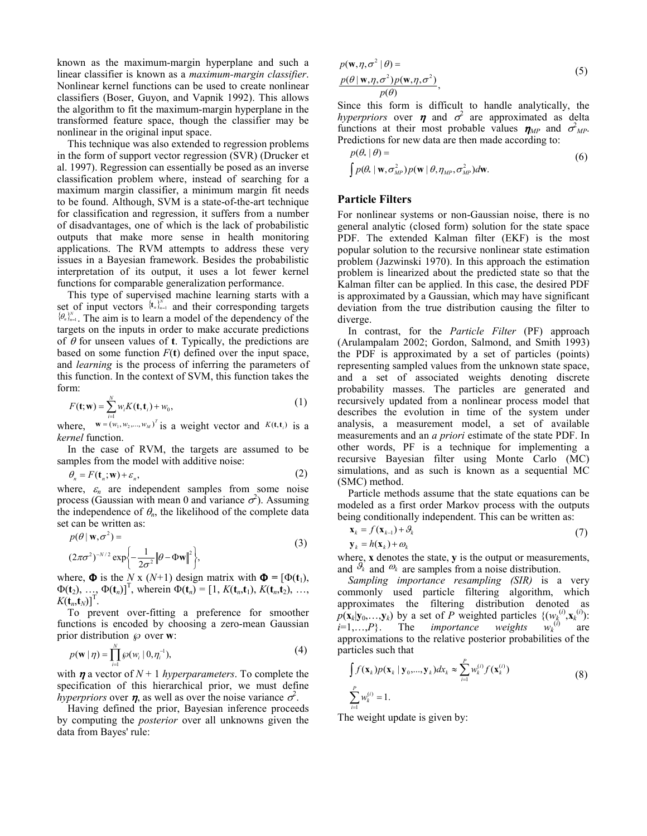known as the maximum-margin hyperplane and such a linear classifier is known as a maximum-margin classifier. Nonlinear kernel functions can be used to create nonlinear classifiers (Boser, Guyon, and Vapnik 1992). This allows the algorithm to fit the maximum-margin hyperplane in the transformed feature space, though the classifier may be nonlinear in the original input space.

 This technique was also extended to regression problems in the form of support vector regression (SVR) (Drucker et al. 1997). Regression can essentially be posed as an inverse classification problem where, instead of searching for a maximum margin classifier, a minimum margin fit needs to be found. Although, SVM is a state-of-the-art technique for classification and regression, it suffers from a number of disadvantages, one of which is the lack of probabilistic outputs that make more sense in health monitoring applications. The RVM attempts to address these very issues in a Bayesian framework. Besides the probabilistic interpretation of its output, it uses a lot fewer kernel functions for comparable generalization performance.

 This type of supervised machine learning starts with a set of input vectors  $\{t_n\}_{n=1}^N$  and their corresponding targets  ${ \{\theta_n\}_{n=1}^N}$ . The aim is to learn a model of the dependency of the targets on the inputs in order to make accurate predictions of  $\theta$  for unseen values of **t**. Typically, the predictions are based on some function  $F(t)$  defined over the input space, and learning is the process of inferring the parameters of this function. In the context of SVM, this function takes the form:

$$
F(\mathbf{t}; \mathbf{w}) = \sum_{i=1}^{N} w_i K(\mathbf{t}, \mathbf{t}_i) + w_0,
$$
\n(1)

where,  $\mathbf{w} = (w_1, w_2, ..., w_M)^T$  is a weight vector and  $K(\mathbf{t}, \mathbf{t}_i)$  is a kernel function.

 In the case of RVM, the targets are assumed to be samples from the model with additive noise:

$$
\theta_n = F(\mathbf{t}_n; \mathbf{w}) + \varepsilon_n,\tag{2}
$$

where,  $\varepsilon_n$  are independent samples from some noise process (Gaussian with mean 0 and variance  $\sigma^2$ ). Assuming the independence of  $\theta_n$ , the likelihood of the complete data set can be written as:

$$
p(\theta \mid \mathbf{w}, \sigma^2) =
$$
  

$$
(2\pi\sigma^2)^{-N/2} \exp\left\{-\frac{1}{2\sigma^2} ||\theta - \Phi \mathbf{w}||^2\right\},
$$
 (3)

where,  $\Phi$  is the N x (N+1) design matrix with  $\Phi = [\Phi(t_1)]$ ,  $\Phi(\mathbf{t}_2), \ldots, \Phi(\mathbf{t}_n)$ <sup>T</sup>, wherein  $\Phi(\mathbf{t}_n) = [1, K(\mathbf{t}_n, \mathbf{t}_1), K(\mathbf{t}_n, \mathbf{t}_2), \ldots, K(\mathbf{t}_n, \mathbf{t}_n)]$  $K(\mathbf{t}_n, \mathbf{t}_N)$ <sup>T</sup>.

 To prevent over-fitting a preference for smoother functions is encoded by choosing a zero-mean Gaussian prior distribution  $\wp$  over w:

$$
p(\mathbf{w} \mid \boldsymbol{\eta}) = \prod_{i=1}^{N} \wp(w_i \mid 0, \boldsymbol{\eta}_i^{-1}), \tag{4}
$$

with  $\eta$  a vector of  $N+1$  hyperparameters. To complete the specification of this hierarchical prior, we must define *hyperpriors* over  $\eta$ , as well as over the noise variance  $\sigma^2$ .

 Having defined the prior, Bayesian inference proceeds by computing the posterior over all unknowns given the data from Bayes' rule:

$$
p(\mathbf{w}, \eta, \sigma^2 | \theta) =
$$
  
\n
$$
\frac{p(\theta | \mathbf{w}, \eta, \sigma^2) p(\mathbf{w}, \eta, \sigma^2)}{p(\theta)},
$$
\n(5)

Since this form is difficult to handle analytically, the hyperpriors over  $\eta$  and  $\sigma^2$  are approximated as delta functions at their most probable values  $\eta_{MP}$  and  $\sigma^2_{MP}$ . Predictions for new data are then made according to:

$$
p(\theta_* | \theta) =
$$
  
\n
$$
\int p(\theta_* | \mathbf{w}, \sigma_{MP}^2) p(\mathbf{w} | \theta, \eta_{MP}, \sigma_{MP}^2) d\mathbf{w}.
$$
\n(6)

#### Particle Filters

For nonlinear systems or non-Gaussian noise, there is no general analytic (closed form) solution for the state space PDF. The extended Kalman filter (EKF) is the most popular solution to the recursive nonlinear state estimation problem (Jazwinski 1970). In this approach the estimation problem is linearized about the predicted state so that the Kalman filter can be applied. In this case, the desired PDF is approximated by a Gaussian, which may have significant deviation from the true distribution causing the filter to diverge.

In contrast, for the *Particle Filter* (PF) approach (Arulampalam 2002; Gordon, Salmond, and Smith 1993) the PDF is approximated by a set of particles (points) representing sampled values from the unknown state space, and a set of associated weights denoting discrete probability masses. The particles are generated and recursively updated from a nonlinear process model that describes the evolution in time of the system under analysis, a measurement model, a set of available measurements and an *a priori* estimate of the state PDF. In other words, PF is a technique for implementing a recursive Bayesian filter using Monte Carlo (MC) simulations, and as such is known as a sequential MC (SMC) method.

 Particle methods assume that the state equations can be modeled as a first order Markov process with the outputs being conditionally independent. This can be written as:

$$
\mathbf{x}_{k} = f(\mathbf{x}_{k-1}) + \mathcal{G}_{k} \tag{7}
$$

$$
\mathbf{y}_{k} = h(\mathbf{x}_{k}) + \mathcal{O}_{k} \tag{7}
$$

where,  $\bf{x}$  denotes the state,  $\bf{v}$  is the output or measurements, and  $\mathcal{G}_k$  and  $\mathcal{Q}_k$  are samples from a noise distribution.

Sampling importance resampling (SIR) is a very commonly used particle filtering algorithm, which approximates the filtering distribution denoted as  $p(\mathbf{x}_k | \mathbf{y}_0, \dots, \mathbf{y}_k)$  by a set of P weighted particles  $\{ (w_k^{(i)}, \mathbf{x}_k^{(i)}) :$  $i=1,...,P$ . The *importance* weights  $\overline{a}$  are approximations to the relative posterior probabilities of the particles such that

$$
\int f(\mathbf{x}_{k})p(\mathbf{x}_{k} | \mathbf{y}_{0},...,\mathbf{y}_{k})d\mathbf{x}_{k} \approx \sum_{i=1}^{P} w_{k}^{(i)} f(\mathbf{x}_{k}^{(i)})
$$
\n
$$
\sum_{i=1}^{P} w_{k}^{(i)} = 1.
$$
\n(8)

The weight update is given by: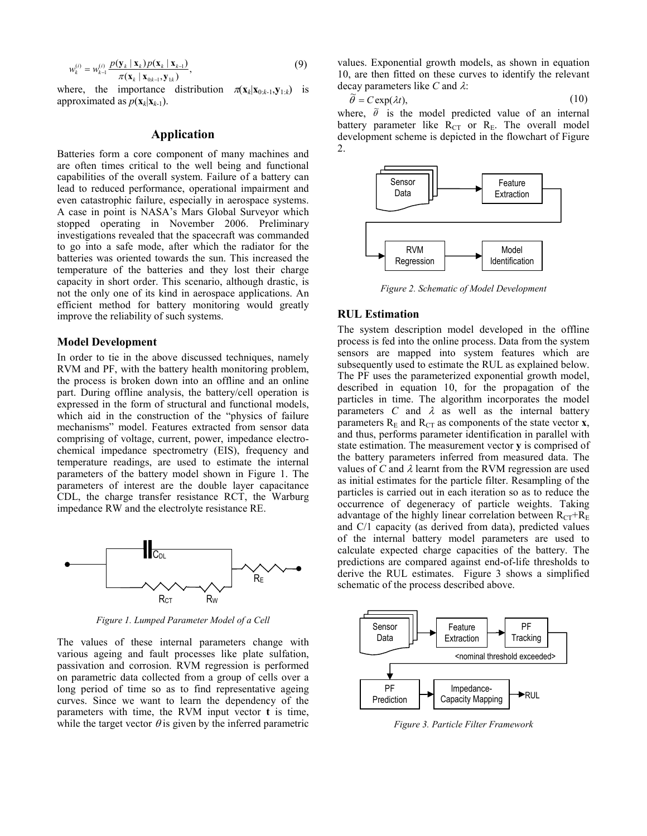$$
w_k^{(i)} = w_{k-1}^{(i)} \frac{p(\mathbf{y}_k \mid \mathbf{x}_k) p(\mathbf{x}_k \mid \mathbf{x}_{k-1})}{\pi(\mathbf{x}_k \mid \mathbf{x}_{0:k-1}, \mathbf{y}_{1:k})},
$$
(9)

where, the importance distribution  $\pi(\mathbf{x}_k|\mathbf{x}_{0:k-1}, \mathbf{y}_{1:k})$  is approximated as  $p(\mathbf{x}_k|\mathbf{x}_{k-1})$ .

# Application

Batteries form a core component of many machines and are often times critical to the well being and functional capabilities of the overall system. Failure of a battery can lead to reduced performance, operational impairment and even catastrophic failure, especially in aerospace systems. A case in point is NASA's Mars Global Surveyor which stopped operating in November 2006. Preliminary investigations revealed that the spacecraft was commanded to go into a safe mode, after which the radiator for the batteries was oriented towards the sun. This increased the temperature of the batteries and they lost their charge capacity in short order. This scenario, although drastic, is not the only one of its kind in aerospace applications. An efficient method for battery monitoring would greatly improve the reliability of such systems.

#### Model Development

In order to tie in the above discussed techniques, namely RVM and PF, with the battery health monitoring problem, the process is broken down into an offline and an online part. During offline analysis, the battery/cell operation is expressed in the form of structural and functional models, which aid in the construction of the "physics of failure mechanisms" model. Features extracted from sensor data comprising of voltage, current, power, impedance electrochemical impedance spectrometry (EIS), frequency and temperature readings, are used to estimate the internal parameters of the battery model shown in Figure 1. The parameters of interest are the double layer capacitance CDL, the charge transfer resistance RCT, the Warburg impedance RW and the electrolyte resistance RE.



Figure 1. Lumped Parameter Model of a Cell

The values of these internal parameters change with various ageing and fault processes like plate sulfation, passivation and corrosion. RVM regression is performed on parametric data collected from a group of cells over a long period of time so as to find representative ageing curves. Since we want to learn the dependency of the parameters with time, the RVM input vector t is time, while the target vector  $\theta$  is given by the inferred parametric values. Exponential growth models, as shown in equation 10, are then fitted on these curves to identify the relevant decay parameters like C and  $\lambda$ :

$$
\widetilde{\theta} = C \exp(\lambda t),\tag{10}
$$

where,  $\ddot{\theta}$  is the model predicted value of an internal battery parameter like  $\overrightarrow{R}_{CT}$  or  $\overrightarrow{R}_{F}$ . The overall model development scheme is depicted in the flowchart of Figure 2.



Figure 2. Schematic of Model Development

#### RUL Estimation

The system description model developed in the offline process is fed into the online process. Data from the system sensors are mapped into system features which are subsequently used to estimate the RUL as explained below. The PF uses the parameterized exponential growth model, described in equation 10, for the propagation of the particles in time. The algorithm incorporates the model parameters  $C$  and  $\lambda$  as well as the internal battery parameters  $R<sub>E</sub>$  and  $R<sub>CT</sub>$  as components of the state vector **x**, and thus, performs parameter identification in parallel with state estimation. The measurement vector y is comprised of the battery parameters inferred from measured data. The values of C and  $\lambda$  learnt from the RVM regression are used as initial estimates for the particle filter. Resampling of the particles is carried out in each iteration so as to reduce the occurrence of degeneracy of particle weights. Taking advantage of the highly linear correlation between  $R_{CT}+R_{E}$ and C/1 capacity (as derived from data), predicted values of the internal battery model parameters are used to calculate expected charge capacities of the battery. The predictions are compared against end-of-life thresholds to derive the RUL estimates. Figure 3 shows a simplified schematic of the process described above.



Figure 3. Particle Filter Framework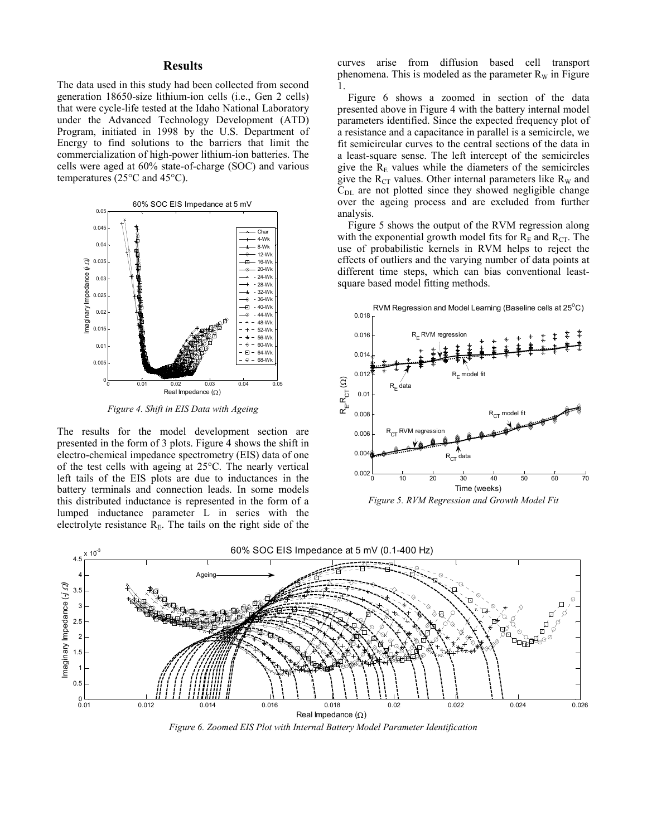## **Results**

The data used in this study had been collected from second generation 18650-size lithium-ion cells (i.e., Gen 2 cells) that were cycle-life tested at the Idaho National Laboratory under the Advanced Technology Development (ATD) Program, initiated in 1998 by the U.S. Department of Energy to find solutions to the barriers that limit the commercialization of high-power lithium-ion batteries. The cells were aged at 60% state-of-charge (SOC) and various temperatures (25°C and 45°C).



Figure 4. Shift in EIS Data with Ageing

The results for the model development section are presented in the form of 3 plots. Figure 4 shows the shift in electro-chemical impedance spectrometry (EIS) data of one of the test cells with ageing at 25°C. The nearly vertical left tails of the EIS plots are due to inductances in the battery terminals and connection leads. In some models this distributed inductance is represented in the form of a lumped inductance parameter L in series with the electrolyte resistance  $R<sub>E</sub>$ . The tails on the right side of the curves arise from diffusion based cell transport phenomena. This is modeled as the parameter  $R_W$  in Figure 1.

 Figure 6 shows a zoomed in section of the data presented above in Figure 4 with the battery internal model parameters identified. Since the expected frequency plot of a resistance and a capacitance in parallel is a semicircle, we fit semicircular curves to the central sections of the data in a least-square sense. The left intercept of the semicircles give the  $R<sub>E</sub>$  values while the diameters of the semicircles give the  $R_{CT}$  values. Other internal parameters like  $R_W$  and  $C_{\text{DL}}$  are not plotted since they showed negligible change over the ageing process and are excluded from further analysis.

 Figure 5 shows the output of the RVM regression along with the exponential growth model fits for  $R<sub>E</sub>$  and  $R<sub>CT</sub>$ . The use of probabilistic kernels in RVM helps to reject the effects of outliers and the varying number of data points at different time steps, which can bias conventional leastsquare based model fitting methods.



Figure 5. RVM Regression and Growth Model Fit



Figure 6. Zoomed EIS Plot with Internal Battery Model Parameter Identification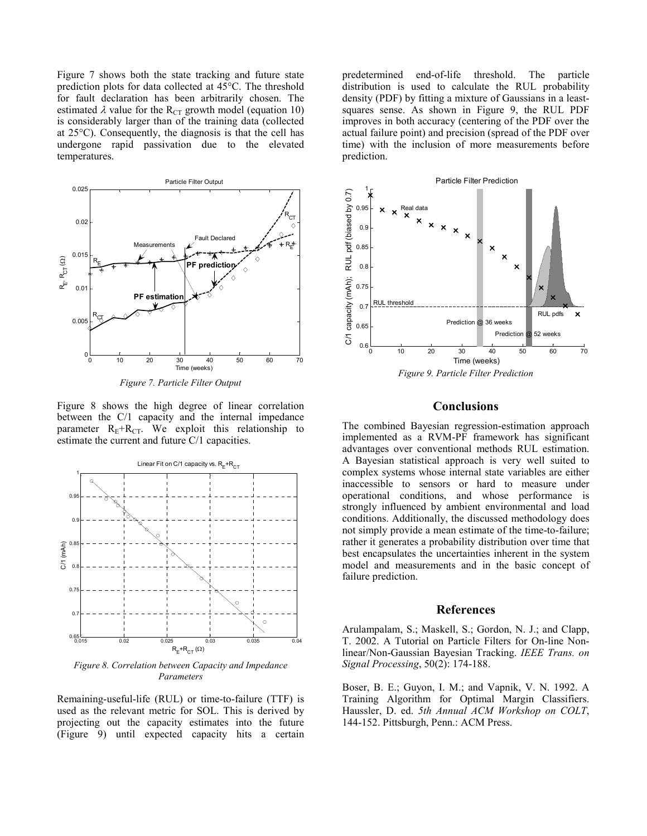Figure 7 shows both the state tracking and future state prediction plots for data collected at 45°C. The threshold for fault declaration has been arbitrarily chosen. The estimated  $\lambda$  value for the R<sub>CT</sub> growth model (equation 10) is considerably larger than of the training data (collected at 25°C). Consequently, the diagnosis is that the cell has undergone rapid passivation due to the elevated temperatures.



Figure 7. Particle Filter Output

Figure 8 shows the high degree of linear correlation between the C/1 capacity and the internal impedance parameter  $R_E + R_{CT}$ . We exploit this relationship to estimate the current and future C/1 capacities.



Figure 8. Correlation between Capacity and Impedance Parameters

Remaining-useful-life (RUL) or time-to-failure (TTF) is used as the relevant metric for SOL. This is derived by projecting out the capacity estimates into the future (Figure 9) until expected capacity hits a certain

predetermined end-of-life threshold. The particle distribution is used to calculate the RUL probability density (PDF) by fitting a mixture of Gaussians in a leastsquares sense. As shown in Figure 9, the RUL PDF improves in both accuracy (centering of the PDF over the actual failure point) and precision (spread of the PDF over time) with the inclusion of more measurements before prediction.



# Conclusions

The combined Bayesian regression-estimation approach implemented as a RVM-PF framework has significant advantages over conventional methods RUL estimation. A Bayesian statistical approach is very well suited to complex systems whose internal state variables are either inaccessible to sensors or hard to measure under operational conditions, and whose performance is strongly influenced by ambient environmental and load conditions. Additionally, the discussed methodology does not simply provide a mean estimate of the time-to-failure; rather it generates a probability distribution over time that best encapsulates the uncertainties inherent in the system model and measurements and in the basic concept of failure prediction.

# References

Arulampalam, S.; Maskell, S.; Gordon, N. J.; and Clapp, T. 2002. A Tutorial on Particle Filters for On-line Nonlinear/Non-Gaussian Bayesian Tracking. IEEE Trans. on Signal Processing, 50(2): 174-188.

Boser, B. E.; Guyon, I. M.; and Vapnik, V. N. 1992. A Training Algorithm for Optimal Margin Classifiers. Haussler, D. ed. 5th Annual ACM Workshop on COLT, 144-152. Pittsburgh, Penn.: ACM Press.